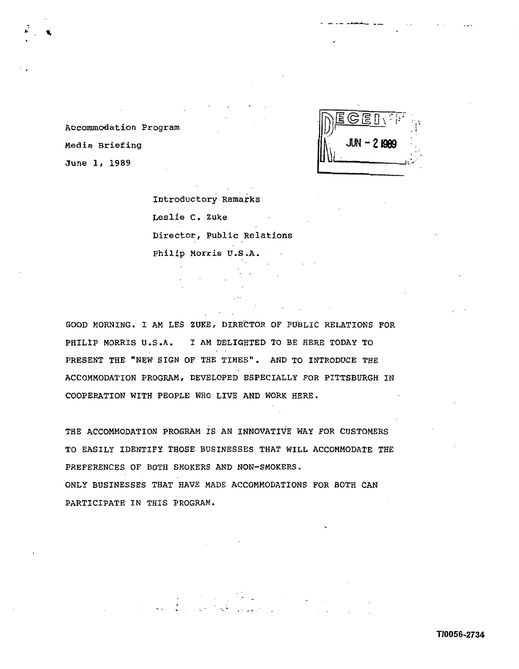

Accommodation Program Media Briefing June **1, 1989** 

> Introductory Remarks Leslie C, **.Zuke**  Director, Public Relations Philip Morris U **,S** .A.

GOOD MORNING. I AM LES **ZUKE,** DIRECTOR OF PUBLIC RELATIONS FOR PHILIP MORRIS U.S.A. I AM DELIGHTED TO BE HERE TODAY TO PRESENT THE "NEW SIGN OF THE TIMES". AND TO INTRODUCE THE ACCOMMODATION PROGRAM, DEVELOPED ESPECIALLY FOR PITTSBURGH IN COOPERATION WITH PEOPLE WHO LIVE AND WORK HERE.

THE ACCOMMODATION PROGRAM IS AN INNOVATIVE WAY FOR CUSTOMERS TO EASILY IDENTIFY THOSE BUSINESSES THAT WILL ACCOMMODATE THE PREFERENCES OF BOTH SMOKERS AND NON-SMOKERS. ONLY BUSINESSES THAT HAVE MADE ACCOMMODATIONS FOR BOTH CAN PARTICIPATE IN THIS PROGRAM.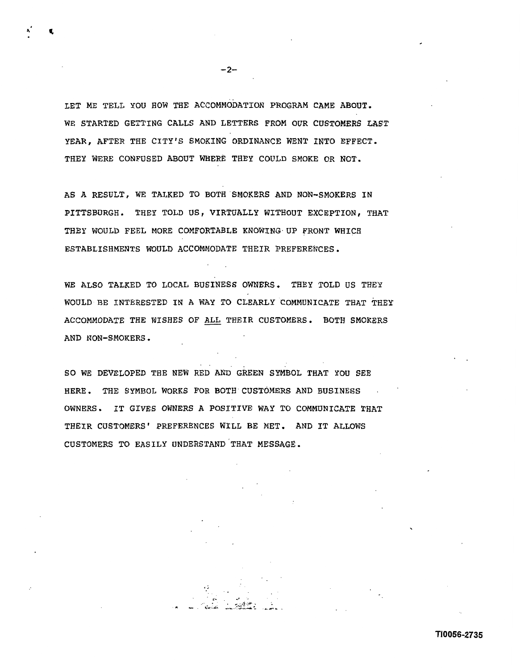LET ME TELL YOU HOW THE ACCOMMODATION PROGRAM CAME ABOUT. WE STARTED GETTING CALLS AND LETTERS FROM OUR CUSTOMERS LAST YEAR, AFTER THE CITY'S SMOKING ORDINANCE WENT INTO EFFECT. THEY WERE CONFUSED ABOUT WHERE THEY COULD SMOKE OR NOT.

AS A RESULT, WE TALKED TO BOTH SMOKERS AND NON-SMOKERS IN PITTSBURGH. THEY TOLD US, VIRTUALLY WITHOUT EXCEPTION, THAT THEY WOULD FEEL MORE COMFORTABLE KNOWING. UP FRONT WHICH ESTABLISHMENTS WOULD ACCOMMODATE THEIR PREFERENCES.

WE ALSO TALKED TO LOCAL BUSINESS OWNERS. THEY TOLD US THEY WOULD BE INTERESTED IN **A** WAY TO CLEARLY'COMMUNICATE THAT THEY ACCOMMODATE THE WISHES OF ALL THEIR CUSTOMERS. BOTH SMOKERS AND NON-SMOKERS .

SO WE DEVELOPED THE NEW RED AND GREEN SYMBOL THAT YOU SEE HERE. THE SYMBOL WORKS FOR BOTH CUSTOMERS AND BUSINESS OWNERS. IT GIVES OWNERS **A** POSITIVE! WAY TO COMMUNICATE THAT THEIR CUSTOMERS' PREFERENCES WILL BE MET. AND IT ALLOWS CUSTOMERS TO EASILY UNDERSTAND THAT MESSAGE.

 $-2-$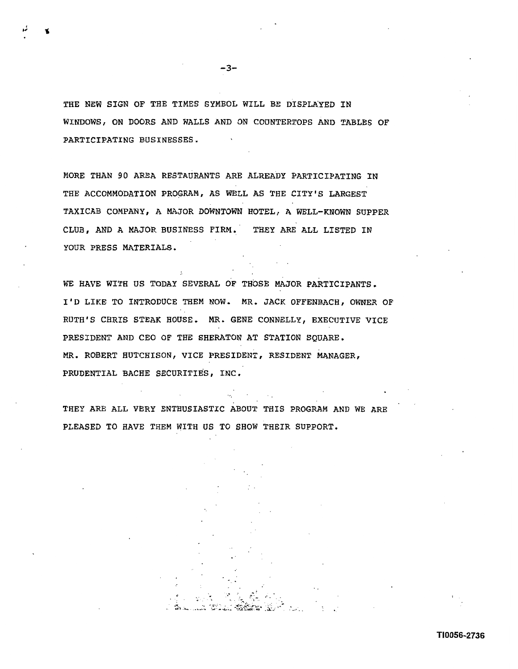THE NEW SIGN OF THE TIMES SYMBOL WILL BE DISPLAYED IN WINDOWSI ON DOORS AND WALLS AND ON COUNTERTOPS AND TABLES OF PARTICIPATING BUSINESSES.

MORE THAN 90 AREA RESTAURANTS ARE ALREADY PARTICIPATING IN THE ACCOMMODATION PROGRAM, AS WELL AS THE CITY'S LARGEST TAXICAB COMPANY, A MAJOR DOWNTOWN HOTEL, A WELL-KNOWN SUPPER CLUB, AND A MAJOR BUSINESS FIRM, THEY ARE ALL LISTED IN YOUR PRESS MATERIALS.

WE HAVE WITH US TODAY SEVERAL OF THOSE MAJOR PARTICIPANTS. I'D LIKE TO INTRODUCE THEM NOW. MR. JACK OFFENBACH, OWNER OF RUTH'S CHRIS STEAK HOUSE- MR. GENE CONNELLY, EXECUTIVE VICE PRESIDENT AND CEO OF THE SHERATON AT STATION SOUARE. MR. ROBERT **HUTCHISON,** VICE PRESIDENT, RESIDENT MANAGER, PRUDENTIAL BACHE SECURITIES, INC.

 $\epsilon$ 

THEY ARE ALL VERY ENTHUSIASTIC ABOUT THIS PROGRAM AND WE ARE PLEASED TO HAVE THEM WITH US TO SHOW THEIR SUPPORT.